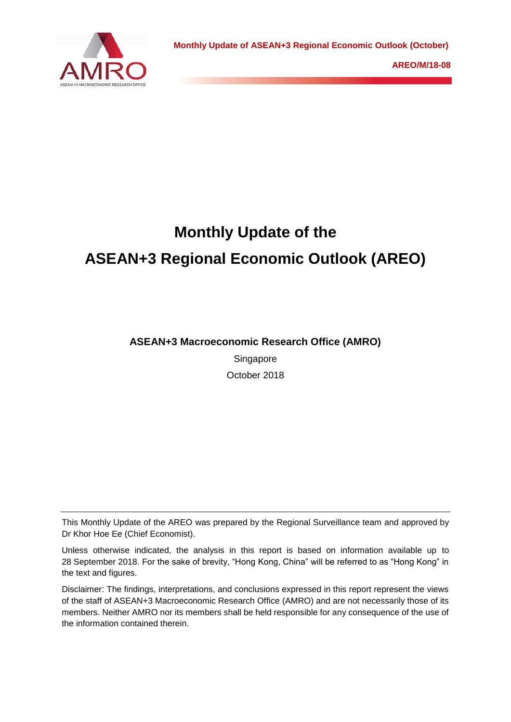

# **Monthly Update of the ASEAN+3 Regional Economic Outlook (AREO)**

**ASEAN+3 Macroeconomic Research Office (AMRO)**

Singapore October 2018

This Monthly Update of the AREO was prepared by the Regional Surveillance team and approved by Dr Khor Hoe Ee (Chief Economist).

Unless otherwise indicated, the analysis in this report is based on information available up to 28 September 2018. For the sake of brevity, "Hong Kong, China" will be referred to as "Hong Kong" in the text and figures.

Disclaimer: The findings, interpretations, and conclusions expressed in this report represent the views of the staff of ASEAN+3 Macroeconomic Research Office (AMRO) and are not necessarily those of its members. Neither AMRO nor its members shall be held responsible for any consequence of the use of the information contained therein.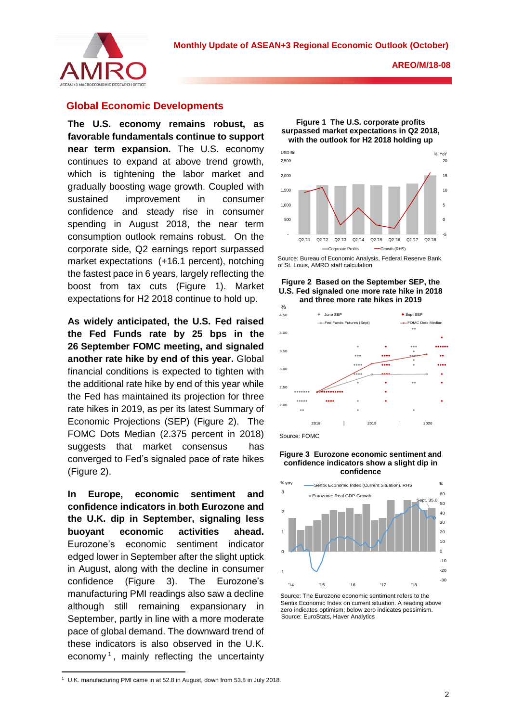

## **Global Economic Developments**

**The U.S. economy remains robust, as favorable fundamentals continue to support near term expansion.** The U.S. economy continues to expand at above trend growth, which is tightening the labor market and gradually boosting wage growth. Coupled with sustained improvement in consumer confidence and steady rise in consumer spending in August 2018, the near term consumption outlook remains robust. On the corporate side, Q2 earnings report surpassed market expectations (+16.1 percent), notching the fastest pace in 6 years, largely reflecting the boost from tax cuts (Figure 1). Market expectations for H2 2018 continue to hold up.

**As widely anticipated, the U.S. Fed raised the Fed Funds rate by 25 bps in the 26 September FOMC meeting, and signaled another rate hike by end of this year.** Global financial conditions is expected to tighten with the additional rate hike by end of this year while the Fed has maintained its projection for three rate hikes in 2019, as per its latest Summary of Economic Projections (SEP) (Figure 2). The FOMC Dots Median (2.375 percent in 2018) suggests that market consensus has converged to Fed's signaled pace of rate hikes (Figure 2).

**In Europe, economic sentiment confidence indicators in both Eurozone and**  1 **the U.K. dip in September, signaling less buoyant economic activities** Eurozone's economic sentiment edged lower in September after the slight uptick in August, along with the decline in consumer confidence (Figure 3). manufacturing PMI readings also saw a decline although still remaining expansionary in September, partly in line with a more moderate pace of global demand. The downward trend of these indicators is also observed in the U.K. economy<sup>1</sup>, mainly reflecting the uncertainty indicator ahead. and :urozone<sup>r</sup>



**Figure 1 The U.S. corporate profits surpassed market expectations in Q2 2018,** 

Source: Bureau of Economic Analysis, Federal Reserve Bank of St. Louis, AMRO staff calculation

**Figure 2 Based on the September SEP, the U.S. Fed signaled one more rate hike in 2018 and three more rate hikes in 2019** 



#### **Figure 3 Eurozone economic sentiment and confidence indicators show a slight dip in confidence**



Source: The Eurozone economic sentiment refers to the Sentix Economic Index on current situation. A reading above zero indicates optimism; below zero indicates pessimism. Source: EuroStats, Haver Analytics

<sup>1</sup> <sup>1</sup> U.K. manufacturing PMI came in at 52.8 in August, down from 53.8 in July 2018.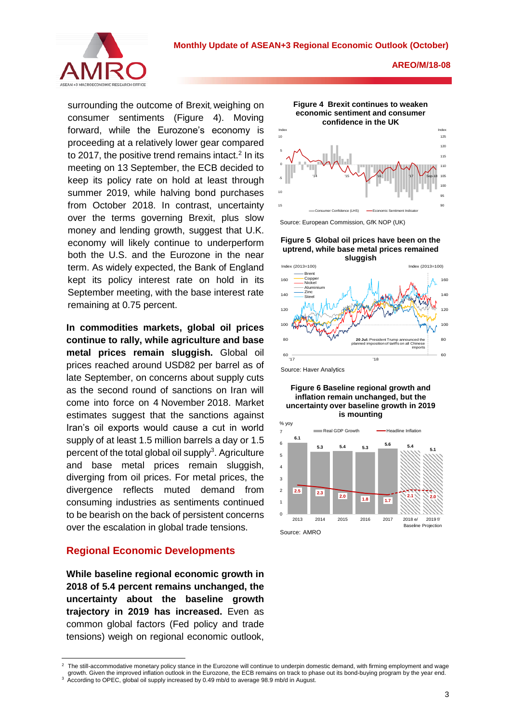

surrounding the outcome of Brexit, weighing on consumer sentiments (Figure 4). Moving forward, while the Eurozone's economy is proceeding at a relatively lower gear compared to 2017, the positive trend remains intact. $2$  In its meeting on 13 September, the ECB decided to keep its policy rate on hold at least through summer 2019, while halving bond purchases from October 2018. In contrast, uncertainty over the terms governing Brexit, plus slow money and lending growth, suggest that U.K. economy will likely continue to underperform both the U.S. and the Eurozone in the near term. As widely expected, the Bank of England kept its policy interest rate on hold in its September meeting, with the base interest rate remaining at 0.75 percent.

**In commodities markets, global oil prices continue to rally, while agriculture and base metal prices remain sluggish.** Global oil prices reached around USD82 per barrel as of late September, on concerns about supply cuts as the second round of sanctions on Iran will come into force on 4 November 2018. Market estimates suggest that the sanctions against Iran's oil exports would cause a cut in world supply of at least 1.5 million barrels a day or 1.5 percent of the total global oil supply<sup>3</sup>. Agriculture and base metal prices remain sluggish, diverging from oil prices. For metal prices, the divergence reflects muted demand from consuming industries as sentiments continued to be bearish on the back of persistent concerns over the escalation in global trade tensions.

## **Regional Economic Developments**

1

**While baseline regional economic growth in 2018 of 5.4 percent remains unchanged, the uncertainty about the baseline growth trajectory in 2019 has increased.** Even as common global factors (Fed policy and trade tensions) weigh on regional economic outlook,



**Figure 5 Global oil prices have been on the uptrend, while base metal prices remained** 



Source: Haver Analytics





<sup>2</sup> The still-accommodative monetary policy stance in the Eurozone will continue to underpin domestic demand, with firming employment and wage growth. Given the improved inflation outlook in the Eurozone, the ECB remains on track to phase out its bond-buying program by the year end. <sup>3</sup> According to OPEC, global oil supply increased by 0.49 mb/d to average 98.9 mb/d in August.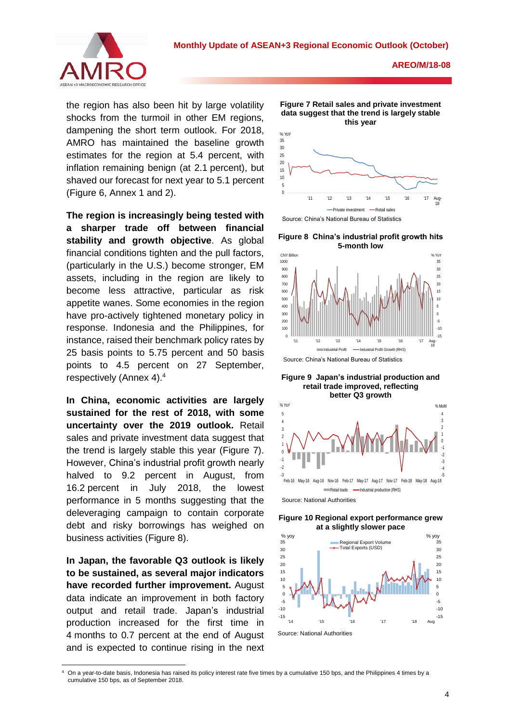

the region has also been hit by large volatility shocks from the turmoil in other EM regions, dampening the short term outlook. For 2018, AMRO has maintained the baseline growth estimates for the region at 5.4 percent, with inflation remaining benign (at 2.1 percent), but shaved our forecast for next year to 5.1 percent (Figure 6, Annex 1 and 2).

**The region is increasingly being tested with a sharper trade off between financial stability and growth objective**. As global financial conditions tighten and the pull factors, (particularly in the U.S.) become stronger, EM assets, including in the region are likely to become less attractive, particular as risk appetite wanes. Some economies in the region have pro-actively tightened monetary policy in response. Indonesia and the Philippines, for instance, raised their benchmark policy rates by 25 basis points to 5.75 percent and 50 basis points to 4.5 percent on 27 September, respectively (Annex 4).<sup>4</sup>

**In China, economic activities are largely sustained for the rest of 2018, with some uncertainty over the 2019 outlook.** Retail sales and private investment data suggest that the trend is largely stable this year (Figure 7). However, China's industrial profit growth nearly halved to 9.2 percent in August, from 16.2 percent in July 2018, the lowest performance in 5 months suggesting that the deleveraging campaign to contain corporate debt and risky borrowings has weighed on business activities (Figure 8).

**In Japan, the favorable Q3 outlook is likely to be sustained, as several major indicators have recorded further improvement.** August data indicate an improvement in both factory output and retail trade. Japan's industrial production increased for the first time in 4 months to 0.7 percent at the end of August and is expected to continue rising in the next



**Figure 7 Retail sales and private investment** 

Source: China's National Bureau of Statistics

**Figure 8 China's industrial profit growth hits 5-month low**



**Figure 9 Japan's industrial production and retail trade improved, reflecting better Q3 growth**



Source: National Authorities





**<sup>.</sup>** On a year-to-date basis, Indonesia has raised its policy interest rate five times by a cumulative 150 bps, and the Philippines 4 times by a cumulative 150 bps, as of September 2018.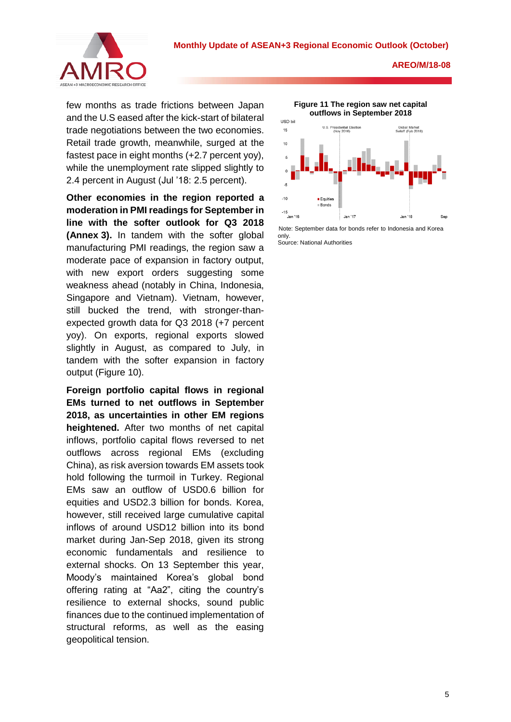

few months as trade frictions between Japan and the U.S eased after the kick-start of bilateral trade negotiations between the two economies. Retail trade growth, meanwhile, surged at the fastest pace in eight months (+2.7 percent yoy), while the unemployment rate slipped slightly to 2.4 percent in August (Jul '18: 2.5 percent).

**Other economies in the region reported a moderation in PMI readings for September in line with the softer outlook for Q3 2018 (Annex 3).** In tandem with the softer global manufacturing PMI readings, the region saw a moderate pace of expansion in factory output, with new export orders suggesting some weakness ahead (notably in China, Indonesia, Singapore and Vietnam). Vietnam, however, still bucked the trend, with stronger-thanexpected growth data for Q3 2018 (+7 percent yoy). On exports, regional exports slowed slightly in August, as compared to July, in tandem with the softer expansion in factory output (Figure 10).

**Foreign portfolio capital flows in regional EMs turned to net outflows in September 2018, as uncertainties in other EM regions heightened.** After two months of net capital inflows, portfolio capital flows reversed to net outflows across regional EMs (excluding China), as risk aversion towards EM assets took hold following the turmoil in Turkey. Regional EMs saw an outflow of USD0.6 billion for equities and USD2.3 billion for bonds. Korea, however, still received large cumulative capital inflows of around USD12 billion into its bond market during Jan-Sep 2018, given its strong economic fundamentals and resilience to external shocks. On 13 September this year, Moody's maintained Korea's global bond offering rating at "Aa2", citing the country's resilience to external shocks, sound public finances due to the continued implementation of structural reforms, as well as the easing geopolitical tension.



**Figure 11 The region saw net capital** 

Note: September data for bonds refer to Indonesia and Korea only. Source: National Authorities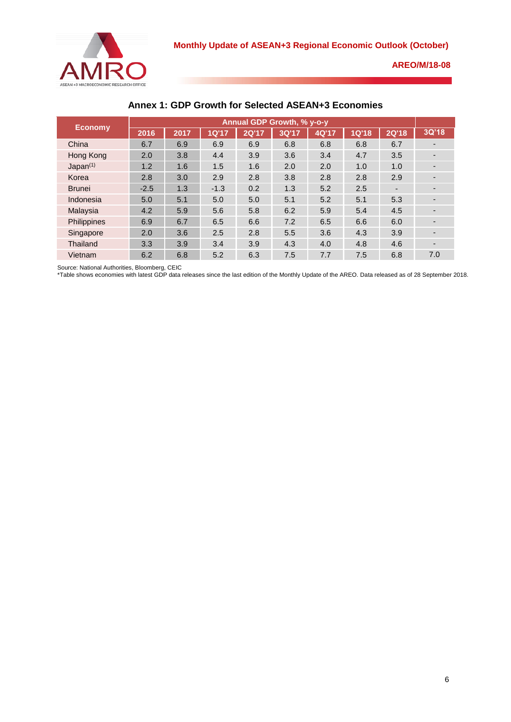

| <b>Economy</b>       | Annual GDP Growth, % y-o-y |      |              |              |       |       |              |              |       |
|----------------------|----------------------------|------|--------------|--------------|-------|-------|--------------|--------------|-------|
|                      | 2016                       | 2017 | <b>1Q'17</b> | <b>2Q'17</b> | 3Q'17 | 4Q'17 | <b>1Q'18</b> | <b>2Q'18</b> | 3Q'18 |
| China                | 6.7                        | 6.9  | 6.9          | 6.9          | 6.8   | 6.8   | 6.8          | 6.7          |       |
| Hong Kong            | 2.0                        | 3.8  | 4.4          | 3.9          | 3.6   | 3.4   | 4.7          | 3.5          |       |
| Japan <sup>(1)</sup> | 1.2                        | 1.6  | 1.5          | 1.6          | 2.0   | 2.0   | 1.0          | 1.0          |       |
| Korea                | 2.8                        | 3.0  | 2.9          | 2.8          | 3.8   | 2.8   | 2.8          | 2.9          |       |
| <b>Brunei</b>        | $-2.5$                     | 1.3  | $-1.3$       | 0.2          | 1.3   | 5.2   | 2.5          | -            |       |
| Indonesia            | 5.0                        | 5.1  | 5.0          | 5.0          | 5.1   | 5.2   | 5.1          | 5.3          |       |
| Malaysia             | 4.2                        | 5.9  | 5.6          | 5.8          | 6.2   | 5.9   | 5.4          | 4.5          |       |
| Philippines          | 6.9                        | 6.7  | 6.5          | 6.6          | 7.2   | 6.5   | 6.6          | 6.0          |       |
| Singapore            | 2.0                        | 3.6  | 2.5          | 2.8          | 5.5   | 3.6   | 4.3          | 3.9          | -     |
| Thailand             | 3.3                        | 3.9  | 3.4          | 3.9          | 4.3   | 4.0   | 4.8          | 4.6          |       |
| Vietnam              | 6.2                        | 6.8  | 5.2          | 6.3          | 7.5   | 7.7   | 7.5          | 6.8          | 7.0   |

# **Annex 1: GDP Growth for Selected ASEAN+3 Economies**

Source: National Authorities, Bloomberg, CEIC

\*Table shows economies with latest GDP data releases since the last edition of the Monthly Update of the AREO. Data released as of 28 September 2018.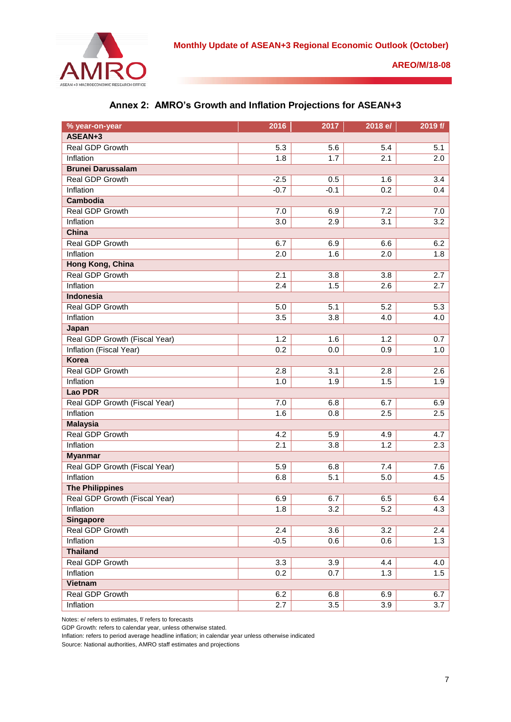

| % year-on-year                | 2016   | 2017   | 2018 e/          | 2019 f/ |  |
|-------------------------------|--------|--------|------------------|---------|--|
| ASEAN+3                       |        |        |                  |         |  |
| Real GDP Growth               | 5.3    | 5.6    | 5.4              | 5.1     |  |
| Inflation                     | 1.8    | 1.7    | 2.1              | 2.0     |  |
| <b>Brunei Darussalam</b>      |        |        |                  |         |  |
| Real GDP Growth               | $-2.5$ | 0.5    | 1.6              | 3.4     |  |
| Inflation                     | $-0.7$ | $-0.1$ | 0.2              | 0.4     |  |
| <b>Cambodia</b>               |        |        |                  |         |  |
| Real GDP Growth               | 7.0    | 6.9    | 7.2              | 7.0     |  |
| Inflation                     | 3.0    | 2.9    | 3.1              | 3.2     |  |
| China                         |        |        |                  |         |  |
| Real GDP Growth               | 6.7    | 6.9    | 6.6              | 6.2     |  |
| Inflation                     | 2.0    | 1.6    | 2.0              | 1.8     |  |
| Hong Kong, China              |        |        |                  |         |  |
| Real GDP Growth               | 2.1    | 3.8    | 3.8              | 2.7     |  |
| Inflation                     | 2.4    | 1.5    | 2.6              | 2.7     |  |
| <b>Indonesia</b>              |        |        |                  |         |  |
| Real GDP Growth               | 5.0    | 5.1    | 5.2              | 5.3     |  |
| Inflation                     | 3.5    | 3.8    | 4.0              | 4.0     |  |
| Japan                         |        |        |                  |         |  |
| Real GDP Growth (Fiscal Year) | 1.2    | 1.6    | 1.2              | 0.7     |  |
| Inflation (Fiscal Year)       | 0.2    | 0.0    | 0.9              | 1.0     |  |
| <b>Korea</b>                  |        |        |                  |         |  |
| Real GDP Growth               | 2.8    | 3.1    | 2.8              | 2.6     |  |
| Inflation                     | 1.0    | 1.9    | 1.5              | 1.9     |  |
| <b>Lao PDR</b>                |        |        |                  |         |  |
| Real GDP Growth (Fiscal Year) | 7.0    | 6.8    | 6.7              | 6.9     |  |
| Inflation                     | 1.6    | 0.8    | 2.5              | 2.5     |  |
| <b>Malaysia</b>               |        |        |                  |         |  |
| Real GDP Growth               | 4.2    | 5.9    | 4.9              | 4.7     |  |
| Inflation                     | 2.1    | 3.8    | 1.2              | 2.3     |  |
| <b>Myanmar</b>                |        |        |                  |         |  |
| Real GDP Growth (Fiscal Year) | 5.9    | 6.8    | 7.4              | 7.6     |  |
| Inflation                     | 6.8    | 5.1    | 5.0              | 4.5     |  |
| <b>The Philippines</b>        |        |        |                  |         |  |
| Real GDP Growth (Fiscal Year) | 6.9    | 6.7    | 6.5              | 6.4     |  |
| Inflation                     | 1.8    | 3.2    | $\overline{5.2}$ | 4.3     |  |
| <b>Singapore</b>              |        |        |                  |         |  |
| Real GDP Growth               | 2.4    | 3.6    | 3.2              | 2.4     |  |
| Inflation                     | $-0.5$ | 0.6    | 0.6              | 1.3     |  |
| <b>Thailand</b>               |        |        |                  |         |  |
| Real GDP Growth               | 3.3    | 3.9    | 4.4              | 4.0     |  |
| Inflation                     | 0.2    | 0.7    | 1.3              | 1.5     |  |
| Vietnam                       |        |        |                  |         |  |
| Real GDP Growth               | 6.2    | 6.8    | 6.9              | 6.7     |  |
| Inflation                     | 2.7    | 3.5    | 3.9              | 3.7     |  |

|  |  | Annex 2: AMRO's Growth and Inflation Projections for ASEAN+3 |  |  |  |  |
|--|--|--------------------------------------------------------------|--|--|--|--|
|--|--|--------------------------------------------------------------|--|--|--|--|

Notes: e/ refers to estimates, f/ refers to forecasts

GDP Growth: refers to calendar year, unless otherwise stated.

Inflation: refers to period average headline inflation; in calendar year unless otherwise indicated

Source: National authorities, AMRO staff estimates and projections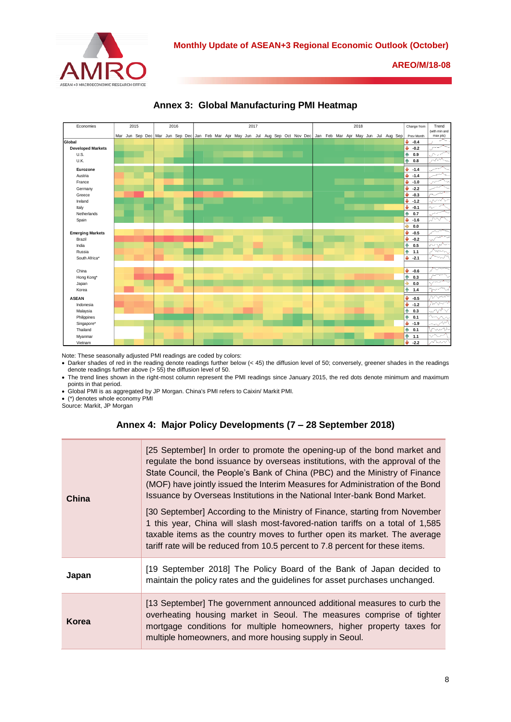



**Annex 3: Global Manufacturing PMI Heatmap** 

Note: These seasonally adjusted PMI readings are coded by colors:

 Darker shades of red in the reading denote readings further below (< 45) the diffusion level of 50; conversely, greener shades in the readings denote readings further above  $(> 55)$  the diffusion level of 50.

 The trend lines shown in the right-most column represent the PMI readings since January 2015, the red dots denote minimum and maximum points in that period.

Global PMI is as aggregated by JP Morgan. China's PMI refers to Caixin/ Markit PMI.

(\*) denotes whole economy PMI

Source: Markit, JP Morgan

## **Annex 4: Major Policy Developments (7 – 28 September 2018)**

| China | [25 September] In order to promote the opening-up of the bond market and<br>regulate the bond issuance by overseas institutions, with the approval of the<br>State Council, the People's Bank of China (PBC) and the Ministry of Finance<br>(MOF) have jointly issued the Interim Measures for Administration of the Bond<br>Issuance by Overseas Institutions in the National Inter-bank Bond Market.<br>[30 September] According to the Ministry of Finance, starting from November<br>1 this year, China will slash most-favored-nation tariffs on a total of 1,585<br>taxable items as the country moves to further open its market. The average<br>tariff rate will be reduced from 10.5 percent to 7.8 percent for these items. |
|-------|---------------------------------------------------------------------------------------------------------------------------------------------------------------------------------------------------------------------------------------------------------------------------------------------------------------------------------------------------------------------------------------------------------------------------------------------------------------------------------------------------------------------------------------------------------------------------------------------------------------------------------------------------------------------------------------------------------------------------------------|
| Japan | [19 September 2018] The Policy Board of the Bank of Japan decided to<br>maintain the policy rates and the guidelines for asset purchases unchanged.                                                                                                                                                                                                                                                                                                                                                                                                                                                                                                                                                                                   |
| Korea | [13 September] The government announced additional measures to curb the<br>overheating housing market in Seoul. The measures comprise of tighter<br>mortgage conditions for multiple homeowners, higher property taxes for<br>multiple homeowners, and more housing supply in Seoul.                                                                                                                                                                                                                                                                                                                                                                                                                                                  |